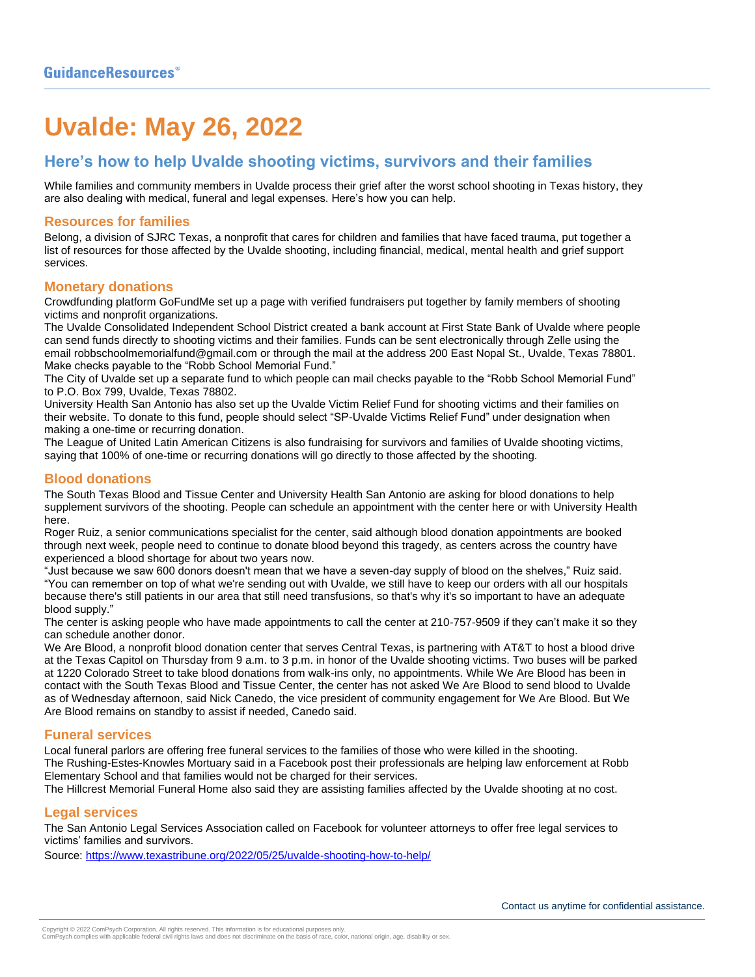# **Uvalde: May 26, 2022**

# **Here's how to help Uvalde shooting victims, survivors and their families**

While [families and community members in Uvalde process their grief](https://www.texastribune.org/2022/05/25/uvalde-shooting-parents-mourning/) after the [worst school shooting in Texas history,](https://www.texastribune.org/2022/05/24/uvalde-texas-school-shooting/) they are also dealing with medical, funeral and legal expenses. Here's how you can help.

#### **Resources for families**

Belong, a division of SJRC Texas, a nonprofit that cares for children and families that have faced trauma, put together [a](https://sjrcbelong.org/uvalde-resources/?fbclid=IwAR2jb3Pkes5Gl1MJsexwnGgJc1ZcbM-UjmKYL3Sc0rPql2CGsSRMOF5oz5M)  [list of resources](https://sjrcbelong.org/uvalde-resources/?fbclid=IwAR2jb3Pkes5Gl1MJsexwnGgJc1ZcbM-UjmKYL3Sc0rPql2CGsSRMOF5oz5M) for those affected by the Uvalde shooting, including financial, medical, mental health and grief support services.

#### **Monetary donations**

Crowdfunding platform [GoFundMe set up a page](https://www.gofundme.com/c/act/donate-to-texas-elementary-school-shooting-relief?pc=CR_social&utm_source=twitter&utm_medium=social&utm_campaign=bcgfm_CR_texas-shooting-tw) with verified fundraisers put together by family members of shooting victims and nonprofit organizations.

The Uvalde Consolidated Independent School District created [a bank account at First State Bank of Uvalde](https://twitter.com/Uvalde_CISD/status/1529480046276141056?s=20&t=MJWx62XXvKe-XI5tphV3CQ) where people can send funds directly to shooting victims and their families. Funds can be sent electronically through Zelle using the email [robbschoolmemorialfund@gmail.com](mailto:robbschoolmemorialfund@gmail.com) or through the mail at the address 200 East Nopal St., Uvalde, Texas 78801. Make checks payable to the "Robb School Memorial Fund."

The City of Uvalde set up a separate fund to which people can mail checks payable to the "Robb School Memorial Fund" to P.O. Box 799, Uvalde, Texas 78802.

University Health San Antonio has also set up the [Uvalde Victim Relief Fund](https://www.universityhealthsystem.com/ways-to-give/donate-to-a-fund) for shooting victims and their families on their website. To donate to this fund, people should select "SP-Uvalde Victims Relief Fund" under designation when making a one-time or recurring donation.

The [League of United Latin American Citizens is also fundraising](https://lulac.org/uvaldefund/) for survivors and families of Uvalde shooting victims, saying that 100% of one-time or recurring donations will go directly to those affected by the shooting.

## **Blood donations**

The South Texas Blood and Tissue Center and University Health San Antonio are asking for blood donations to help supplement survivors of the shooting. People can schedule an [appointment with the center here](https://biobridgeglobal.org/donors/blood-donation/) or with [University Health](https://www.universityhealthsystem.com/ways-to-give/give-blood)  [here.](https://www.universityhealthsystem.com/ways-to-give/give-blood)

Roger Ruiz, a senior communications specialist for the center, said although blood donation appointments are booked through next week, people need to continue to donate blood beyond this tragedy, as centers across the country have experienced a blood shortage for about two years now.

"Just because we saw 600 donors doesn't mean that we have a seven-day supply of blood on the shelves," Ruiz said. "You can remember on top of what we're sending out with Uvalde, we still have to keep our orders with all our hospitals because there's still patients in our area that still need transfusions, so that's why it's so important to have an adequate blood supply."

The center is asking people who have made appointments to call the center at 210-757-9509 if they can't make it so they can schedule another donor.

We Are Blood, a nonprofit blood donation center that serves Central Texas, is partnering with AT&T to host a blood drive at the Texas Capitol on Thursday from 9 a.m. to 3 p.m. in honor of the Uvalde shooting victims. Two buses will be parked at 1220 Colorado Street to take blood donations from walk-ins only, no appointments. While We Are Blood has been in contact with the South Texas Blood and Tissue Center, the center has not asked We Are Blood to send blood to Uvalde as of Wednesday afternoon, said Nick Canedo, the vice president of community engagement for We Are Blood. But We Are Blood remains on standby to assist if needed, Canedo said.

## **Funeral services**

Local funeral parlors are offering free funeral services to the families of those who were killed in the shooting. The Rushing-Estes-Knowles Mortuary said [in a Facebook post](https://www.facebook.com/RushEstesKnowMortUvalde/) their professionals are helping law enforcement at Robb Elementary School and that families would not be charged for their services.

The Hillcrest Memorial Funeral Home [also said](https://www.facebook.com/hillcrestfh/posts/1334907973668604) they are assisting families affected by the Uvalde shooting at no cost.

## **Legal services**

The [San Antonio Legal Services Association called on Facebook](https://www.facebook.com/SALSASanAntonio/posts/550018863333129) for volunteer attorneys to offer free legal services to victims' families and survivors.

Source[: https://www.texastribune.org/2022/05/25/uvalde-shooting-how-to-help/](https://www.texastribune.org/2022/05/25/uvalde-shooting-how-to-help/)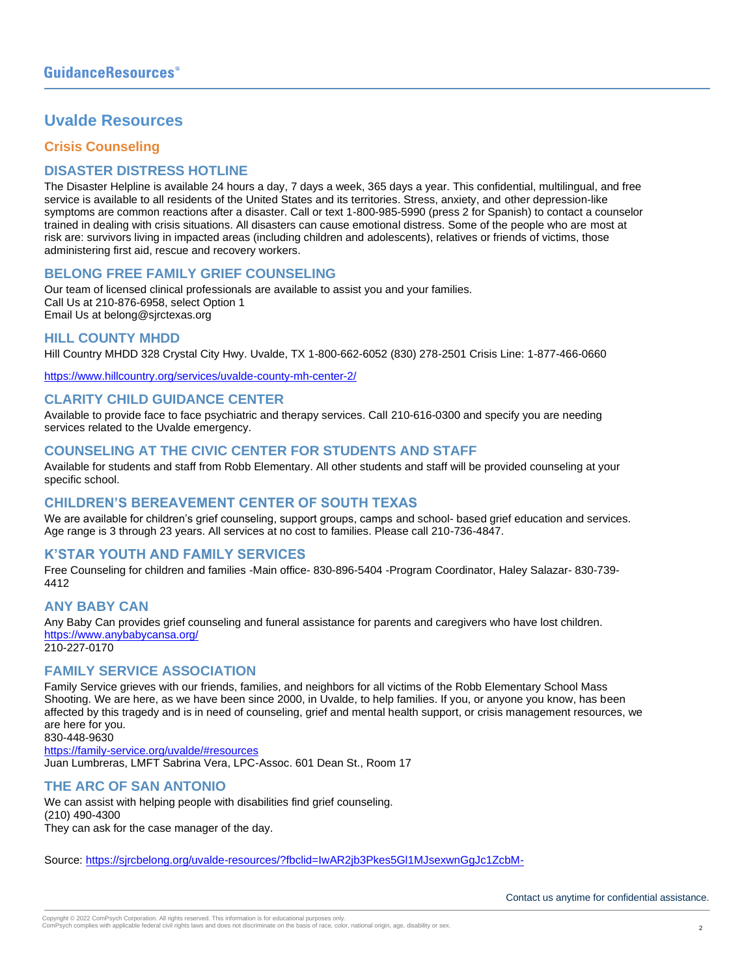# **Uvalde Resources**

## **Crisis Counseling**

## **DISASTER DISTRESS HOTLINE**

The Disaster Helpline is available 24 hours a day, 7 days a week, 365 days a year. This confidential, multilingual, and free service is available to all residents of the United States and its territories. Stress, anxiety, and other depression-like symptoms are common reactions after a disaster. Call or text 1-800-985-5990 (press 2 for Spanish) to contact a counselor trained in dealing with crisis situations. All disasters can cause emotional distress. Some of the people who are most at risk are: survivors living in impacted areas (including children and adolescents), relatives or friends of victims, those administering first aid, rescue and recovery workers.

## **BELONG FREE FAMILY GRIEF COUNSELING**

Our team of licensed clinical professionals are available to assist you and your families. Call Us at 210-876-6958, select Option 1 Email Us at belong@sjrctexas.org

#### **HILL COUNTY MHDD**

Hill Country MHDD 328 Crystal City Hwy. Uvalde, TX 1-800-662-6052 (830) 278-2501 Crisis Line: 1-877-466-0660

<https://www.hillcountry.org/services/uvalde-county-mh-center-2/>

## **CLARITY CHILD GUIDANCE CENTER**

Available to provide face to face psychiatric and therapy services. Call 210-616-0300 and specify you are needing services related to the Uvalde emergency.

## **COUNSELING AT THE CIVIC CENTER FOR STUDENTS AND STAFF**

Available for students and staff from Robb Elementary. All other students and staff will be provided counseling at your specific school.

## **CHILDREN'S BEREAVEMENT CENTER OF SOUTH TEXAS**

We are available for children's grief counseling, support groups, camps and school- based grief education and services. Age range is 3 through 23 years. All services at no cost to families. Please call 210-736-4847.

## **K'STAR YOUTH AND FAMILY SERVICES**

Free Counseling for children and families -Main office- 830-896-5404 -Program Coordinator, Haley Salazar- 830-739- 4412

## **ANY BABY CAN**

Any Baby Can provides grief counseling and funeral assistance for parents and caregivers who have lost children. <https://www.anybabycansa.org/> 210-227-0170

## **FAMILY SERVICE ASSOCIATION**

Family Service grieves with our friends, families, and neighbors for all victims of the Robb Elementary School Mass Shooting. We are here, as we have been since 2000, in Uvalde, to help families. If you, or anyone you know, has been affected by this tragedy and is in need of counseling, grief and mental health support, or crisis management resources, we are here for you.

830-448-9630 <https://family-service.org/uvalde/#resources> Juan Lumbreras, LMFT Sabrina Vera, LPC-Assoc. 601 Dean St., Room 17

## **THE ARC OF SAN ANTONIO**

We can assist with helping people with disabilities find grief counseling. (210) 490-4300 They can ask for the case manager of the day.

Source[: https://sjrcbelong.org/uvalde-resources/?fbclid=IwAR2jb3Pkes5Gl1MJsexwnGgJc1ZcbM-](https://sjrcbelong.org/uvalde-resources/?fbclid=IwAR2jb3Pkes5Gl1MJsexwnGgJc1ZcbM-UjmKYL3Sc0rPql2CGsSRMOF5oz5M)